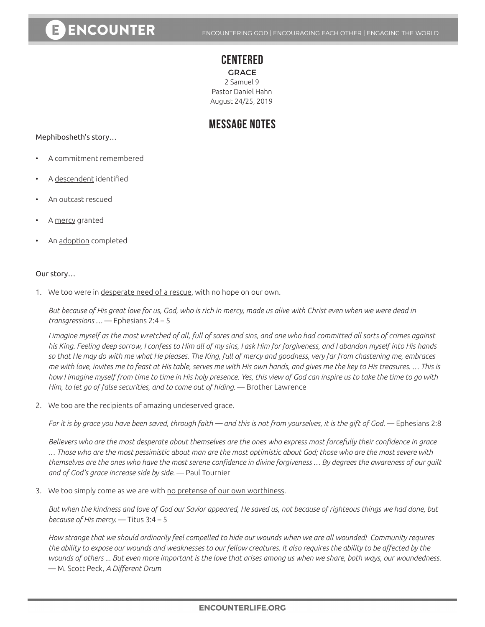# E ENCOUNTER

### **CENTERED**

**GRACE** 2 Samuel 9 Pastor Daniel Hahn August 24/25, 2019

## **MESSAGE NOTES**

Mephibosheth's story…

- A commitment remembered
- A descendent identified
- An outcast rescued
- A mercy granted
- An adoption completed

#### Our story…

1. We too were in desperate need of a rescue, with no hope on our own.

*But because of His great love for us, God, who is rich in mercy, made us alive with Christ even when we were dead in transgressions …* — Ephesians 2:4 – 5

*I imagine myself as the most wretched of all, full of sores and sins, and one who had committed all sorts of crimes against his King. Feeling deep sorrow, I confess to Him all of my sins, I ask Him for forgiveness, and I abandon myself into His hands so that He may do with me what He pleases. The King, full of mercy and goodness, very far from chastening me, embraces me with love, invites me to feast at His table, serves me with His own hands, and gives me the key to His treasures. … This is how I imagine myself from time to time in His holy presence. Yes, this view of God can inspire us to take the time to go with Him, to let go of false securities, and to come out of hiding.* — Brother Lawrence

2. We too are the recipients of amazing undeserved grace.

*For it is by grace you have been saved, through faith — and this is not from yourselves, it is the gift of God.* — Ephesians 2:8

*Believers who are the most desperate about themselves are the ones who express most forcefully their confidence in grace … Those who are the most pessimistic about man are the most optimistic about God; those who are the most severe with themselves are the ones who have the most serene confidence in divine forgiveness … By degrees the awareness of our guilt and of God's grace increase side by side.* — Paul Tournier

3. We too simply come as we are with no pretense of our own worthiness.

*But when the kindness and love of God our Savior appeared, He saved us, not because of righteous things we had done, but because of His mercy.* — Titus 3:4 – 5

*How strange that we should ordinarily feel compelled to hide our wounds when we are all wounded! Community requires the ability to expose our wounds and weaknesses to our fellow creatures. It also requires the ability to be affected by the wounds of others ... But even more important is the love that arises among us when we share, both ways, our woundedness.*  — M. Scott Peck, *A Different Drum*